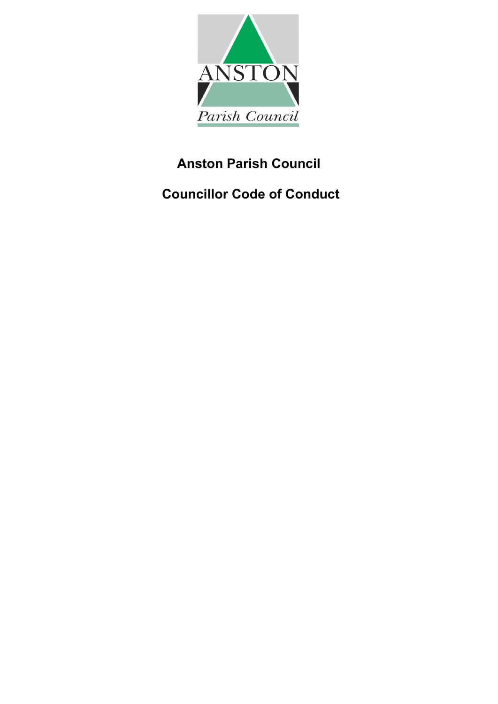

# **Anston Parish Council**

**Councillor Code of Conduct**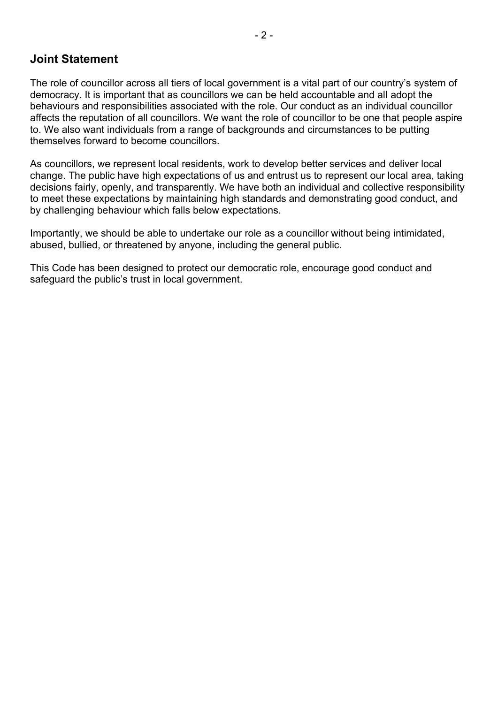# **Joint Statement**

The role of councillor across all tiers of local government is a vital part of our country's system of democracy. It is important that as councillors we can be held accountable and all adopt the behaviours and responsibilities associated with the role. Our conduct as an individual councillor affects the reputation of all councillors. We want the role of councillor to be one that people aspire to. We also want individuals from a range of backgrounds and circumstances to be putting themselves forward to become councillors.

As councillors, we represent local residents, work to develop better services and deliver local change. The public have high expectations of us and entrust us to represent our local area, taking decisions fairly, openly, and transparently. We have both an individual and collective responsibility to meet these expectations by maintaining high standards and demonstrating good conduct, and by challenging behaviour which falls below expectations.

Importantly, we should be able to undertake our role as a councillor without being intimidated, abused, bullied, or threatened by anyone, including the general public.

This Code has been designed to protect our democratic role, encourage good conduct and safeguard the public's trust in local government.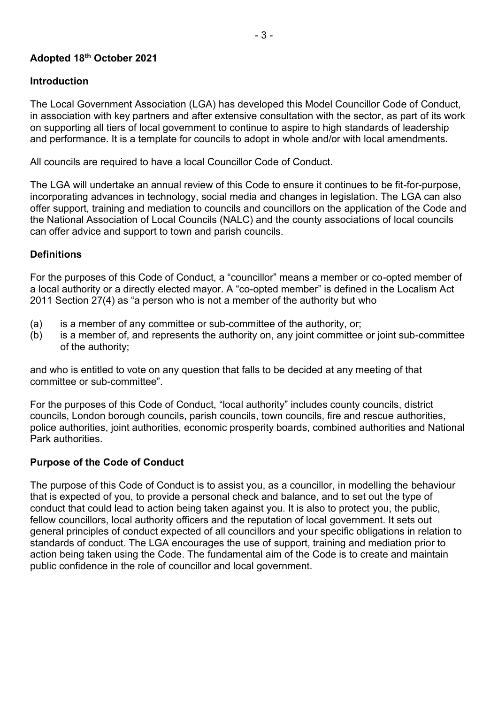## **Adopted 18th October 2021**

#### **Introduction**

The Local Government Association (LGA) has developed this Model Councillor Code of Conduct, in association with key partners and after extensive consultation with the sector, as part of its work on supporting all tiers of local government to continue to aspire to high standards of leadership and performance. It is a template for councils to adopt in whole and/or with local amendments.

All councils are required to have a local Councillor Code of Conduct.

The LGA will undertake an annual review of this Code to ensure it continues to be fit-for-purpose, incorporating advances in technology, social media and changes in legislation. The LGA can also offer support, training and mediation to councils and councillors on the application of the Code and the National Association of Local Councils (NALC) and the county associations of local councils can offer advice and support to town and parish councils.

#### **Definitions**

For the purposes of this Code of Conduct, a "councillor" means a member or co-opted member of a local authority or a directly elected mayor. A "co-opted member" is defined in the Localism Act 2011 Section 27(4) as "a person who is not a member of the authority but who

- (a) is a member of any committee or sub-committee of the authority, or;
- (b) is a member of, and represents the authority on, any joint committee or joint sub-committee of the authority;

and who is entitled to vote on any question that falls to be decided at any meeting of that committee or sub-committee".

For the purposes of this Code of Conduct, "local authority" includes county councils, district councils, London borough councils, parish councils, town councils, fire and rescue authorities, police authorities, joint authorities, economic prosperity boards, combined authorities and National Park authorities.

#### **Purpose of the Code of Conduct**

The purpose of this Code of Conduct is to assist you, as a councillor, in modelling the behaviour that is expected of you, to provide a personal check and balance, and to set out the type of conduct that could lead to action being taken against you. It is also to protect you, the public, fellow councillors, local authority officers and the reputation of local government. It sets out general principles of conduct expected of all councillors and your specific obligations in relation to standards of conduct. The LGA encourages the use of support, training and mediation prior to action being taken using the Code. The fundamental aim of the Code is to create and maintain public confidence in the role of councillor and local government.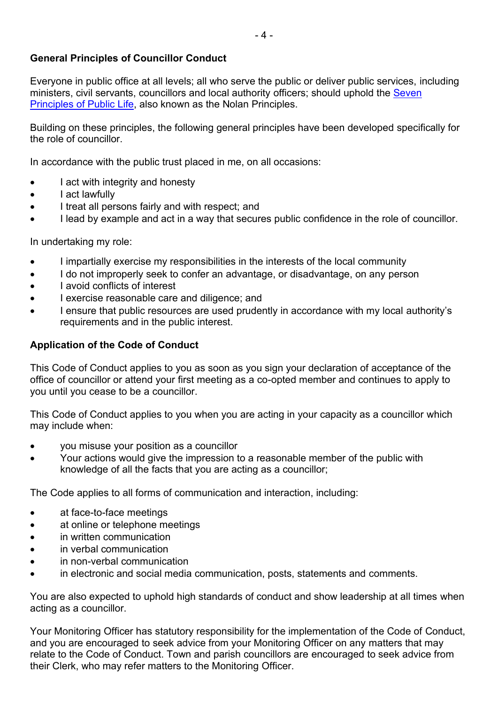## **General Principles of Councillor Conduct**

Everyone in public office at all levels; all who serve the public or deliver public services, including ministers, civil servants, councillors and local authority officers; should uphold the Seven [Principles of Public Life,](https://www.gov.uk/government/publications/the-7-principles-of-public-life/the-7-principles-of-public-life--2) also known as the Nolan Principles.

Building on these principles, the following general principles have been developed specifically for the role of councillor.

In accordance with the public trust placed in me, on all occasions:

- I act with integrity and honesty
- I act lawfully
- I treat all persons fairly and with respect; and
- I lead by example and act in a way that secures public confidence in the role of councillor.

In undertaking my role:

- I impartially exercise my responsibilities in the interests of the local community
- I do not improperly seek to confer an advantage, or disadvantage, on any person
- I avoid conflicts of interest
- I exercise reasonable care and diligence; and
- I ensure that public resources are used prudently in accordance with my local authority's requirements and in the public interest.

#### **Application of the Code of Conduct**

This Code of Conduct applies to you as soon as you sign your declaration of acceptance of the office of councillor or attend your first meeting as a co-opted member and continues to apply to you until you cease to be a councillor.

This Code of Conduct applies to you when you are acting in your capacity as a councillor which may include when:

- you misuse your position as a councillor
- Your actions would give the impression to a reasonable member of the public with knowledge of all the facts that you are acting as a councillor;

The Code applies to all forms of communication and interaction, including:

- at face-to-face meetings
- at online or telephone meetings
- in written communication
- in verbal communication
- in non-verbal communication
- in electronic and social media communication, posts, statements and comments.

You are also expected to uphold high standards of conduct and show leadership at all times when acting as a councillor.

Your Monitoring Officer has statutory responsibility for the implementation of the Code of Conduct, and you are encouraged to seek advice from your Monitoring Officer on any matters that may relate to the Code of Conduct. Town and parish councillors are encouraged to seek advice from their Clerk, who may refer matters to the Monitoring Officer.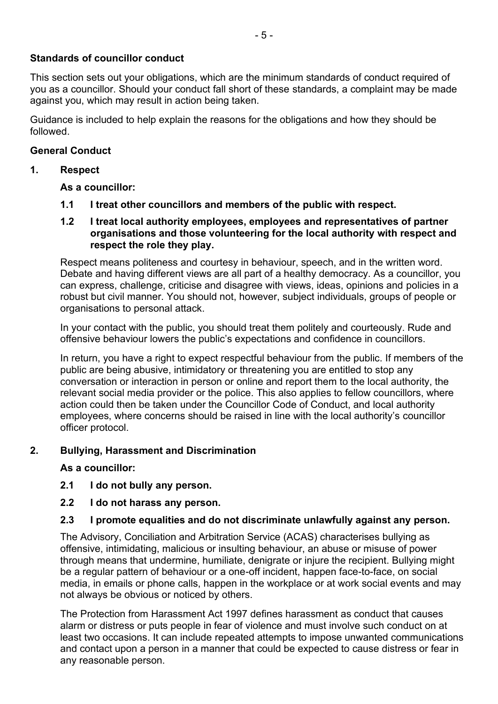## **Standards of councillor conduct**

This section sets out your obligations, which are the minimum standards of conduct required of you as a councillor. Should your conduct fall short of these standards, a complaint may be made against you, which may result in action being taken.

Guidance is included to help explain the reasons for the obligations and how they should be followed.

#### **General Conduct**

#### **1. Respect**

**As a councillor:** 

- **1.1 I treat other councillors and members of the public with respect.**
- **1.2 I treat local authority employees, employees and representatives of partner organisations and those volunteering for the local authority with respect and respect the role they play.**

Respect means politeness and courtesy in behaviour, speech, and in the written word. Debate and having different views are all part of a healthy democracy. As a councillor, you can express, challenge, criticise and disagree with views, ideas, opinions and policies in a robust but civil manner. You should not, however, subject individuals, groups of people or organisations to personal attack.

In your contact with the public, you should treat them politely and courteously. Rude and offensive behaviour lowers the public's expectations and confidence in councillors.

In return, you have a right to expect respectful behaviour from the public. If members of the public are being abusive, intimidatory or threatening you are entitled to stop any conversation or interaction in person or online and report them to the local authority, the relevant social media provider or the police. This also applies to fellow councillors, where action could then be taken under the Councillor Code of Conduct, and local authority employees, where concerns should be raised in line with the local authority's councillor officer protocol.

#### **2. Bullying, Harassment and Discrimination**

#### **As a councillor:**

- **2.1 I do not bully any person.**
- **2.2 I do not harass any person.**

#### **2.3 I promote equalities and do not discriminate unlawfully against any person.**

The Advisory, Conciliation and Arbitration Service (ACAS) characterises bullying as offensive, intimidating, malicious or insulting behaviour, an abuse or misuse of power through means that undermine, humiliate, denigrate or injure the recipient. Bullying might be a regular pattern of behaviour or a one-off incident, happen face-to-face, on social media, in emails or phone calls, happen in the workplace or at work social events and may not always be obvious or noticed by others.

The Protection from Harassment Act 1997 defines harassment as conduct that causes alarm or distress or puts people in fear of violence and must involve such conduct on at least two occasions. It can include repeated attempts to impose unwanted communications and contact upon a person in a manner that could be expected to cause distress or fear in any reasonable person.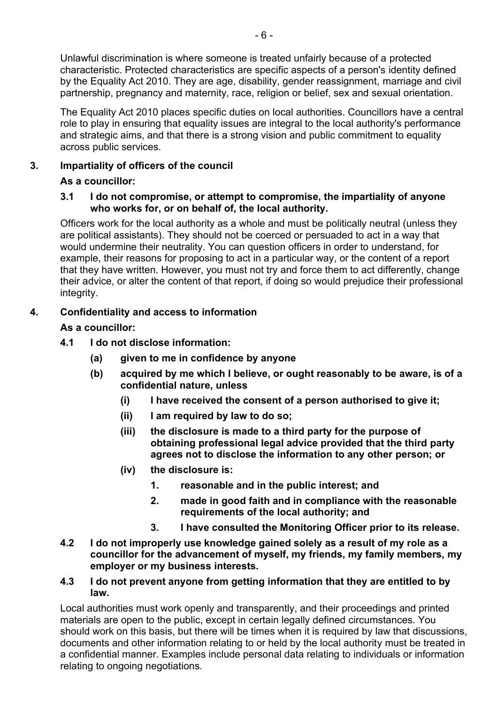Unlawful discrimination is where someone is treated unfairly because of a protected characteristic. Protected characteristics are specific aspects of a person's identity defined by the Equality Act 2010. They are age, disability, gender reassignment, marriage and civil partnership, pregnancy and maternity, race, religion or belief, sex and sexual orientation.

The Equality Act 2010 places specific duties on local authorities. Councillors have a central role to play in ensuring that equality issues are integral to the local authority's performance and strategic aims, and that there is a strong vision and public commitment to equality across public services.

# **3. Impartiality of officers of the council**

# **As a councillor:**

## **3.1 I do not compromise, or attempt to compromise, the impartiality of anyone who works for, or on behalf of, the local authority.**

Officers work for the local authority as a whole and must be politically neutral (unless they are political assistants). They should not be coerced or persuaded to act in a way that would undermine their neutrality. You can question officers in order to understand, for example, their reasons for proposing to act in a particular way, or the content of a report that they have written. However, you must not try and force them to act differently, change their advice, or alter the content of that report, if doing so would prejudice their professional integrity.

# **4. Confidentiality and access to information**

## **As a councillor:**

- **4.1 I do not disclose information:** 
	- **(a) given to me in confidence by anyone**
	- **(b) acquired by me which I believe, or ought reasonably to be aware, is of a confidential nature, unless** 
		- **(i) I have received the consent of a person authorised to give it;**
		- **(ii) I am required by law to do so;**
		- **(iii) the disclosure is made to a third party for the purpose of obtaining professional legal advice provided that the third party agrees not to disclose the information to any other person; or**
		- **(iv) the disclosure is:** 
			- **1. reasonable and in the public interest; and**
			- **2. made in good faith and in compliance with the reasonable requirements of the local authority; and**
			- **3. I have consulted the Monitoring Officer prior to its release.**
- **4.2 I do not improperly use knowledge gained solely as a result of my role as a councillor for the advancement of myself, my friends, my family members, my employer or my business interests.**

#### **4.3 I do not prevent anyone from getting information that they are entitled to by law.**

Local authorities must work openly and transparently, and their proceedings and printed materials are open to the public, except in certain legally defined circumstances. You should work on this basis, but there will be times when it is required by law that discussions, documents and other information relating to or held by the local authority must be treated in a confidential manner. Examples include personal data relating to individuals or information relating to ongoing negotiations.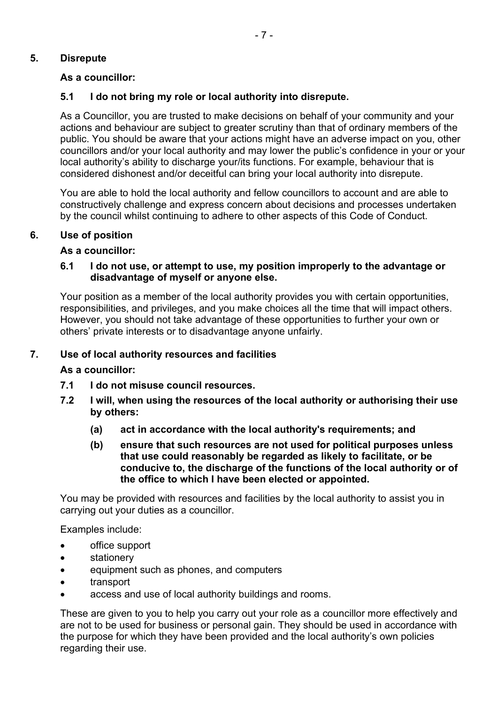## **5. Disrepute**

## **As a councillor:**

## **5.1 I do not bring my role or local authority into disrepute.**

As a Councillor, you are trusted to make decisions on behalf of your community and your actions and behaviour are subject to greater scrutiny than that of ordinary members of the public. You should be aware that your actions might have an adverse impact on you, other councillors and/or your local authority and may lower the public's confidence in your or your local authority's ability to discharge your/its functions. For example, behaviour that is considered dishonest and/or deceitful can bring your local authority into disrepute.

You are able to hold the local authority and fellow councillors to account and are able to constructively challenge and express concern about decisions and processes undertaken by the council whilst continuing to adhere to other aspects of this Code of Conduct.

#### **6. Use of position**

#### **As a councillor:**

#### **6.1 I do not use, or attempt to use, my position improperly to the advantage or disadvantage of myself or anyone else.**

Your position as a member of the local authority provides you with certain opportunities, responsibilities, and privileges, and you make choices all the time that will impact others. However, you should not take advantage of these opportunities to further your own or others' private interests or to disadvantage anyone unfairly.

#### **7. Use of local authority resources and facilities**

#### **As a councillor:**

- **7.1 I do not misuse council resources.**
- **7.2 I will, when using the resources of the local authority or authorising their use by others:**
	- **(a) act in accordance with the local authority's requirements; and**
	- **(b) ensure that such resources are not used for political purposes unless that use could reasonably be regarded as likely to facilitate, or be conducive to, the discharge of the functions of the local authority or of the office to which I have been elected or appointed.**

You may be provided with resources and facilities by the local authority to assist you in carrying out your duties as a councillor.

Examples include:

- office support
- stationery
- equipment such as phones, and computers
- transport
- access and use of local authority buildings and rooms.

These are given to you to help you carry out your role as a councillor more effectively and are not to be used for business or personal gain. They should be used in accordance with the purpose for which they have been provided and the local authority's own policies regarding their use.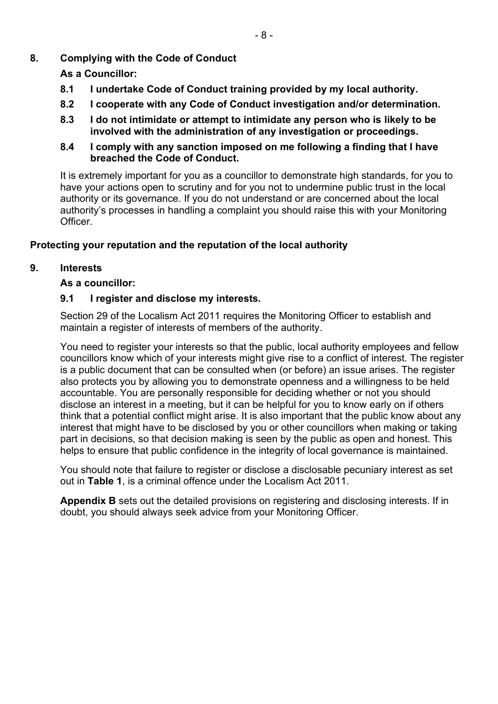# **8. Complying with the Code of Conduct**

**As a Councillor:** 

- **8.1 I undertake Code of Conduct training provided by my local authority.**
- **8.2 I cooperate with any Code of Conduct investigation and/or determination.**
- **8.3 I do not intimidate or attempt to intimidate any person who is likely to be involved with the administration of any investigation or proceedings.**
- **8.4 I comply with any sanction imposed on me following a finding that I have breached the Code of Conduct.**

It is extremely important for you as a councillor to demonstrate high standards, for you to have your actions open to scrutiny and for you not to undermine public trust in the local authority or its governance. If you do not understand or are concerned about the local authority's processes in handling a complaint you should raise this with your Monitoring **Officer** 

# **Protecting your reputation and the reputation of the local authority**

# **9. Interests**

# **As a councillor:**

# **9.1 I register and disclose my interests.**

Section 29 of the Localism Act 2011 requires the Monitoring Officer to establish and maintain a register of interests of members of the authority.

You need to register your interests so that the public, local authority employees and fellow councillors know which of your interests might give rise to a conflict of interest. The register is a public document that can be consulted when (or before) an issue arises. The register also protects you by allowing you to demonstrate openness and a willingness to be held accountable. You are personally responsible for deciding whether or not you should disclose an interest in a meeting, but it can be helpful for you to know early on if others think that a potential conflict might arise. It is also important that the public know about any interest that might have to be disclosed by you or other councillors when making or taking part in decisions, so that decision making is seen by the public as open and honest. This helps to ensure that public confidence in the integrity of local governance is maintained.

You should note that failure to register or disclose a disclosable pecuniary interest as set out in **Table 1**, is a criminal offence under the Localism Act 2011.

**Appendix B** sets out the detailed provisions on registering and disclosing interests. If in doubt, you should always seek advice from your Monitoring Officer.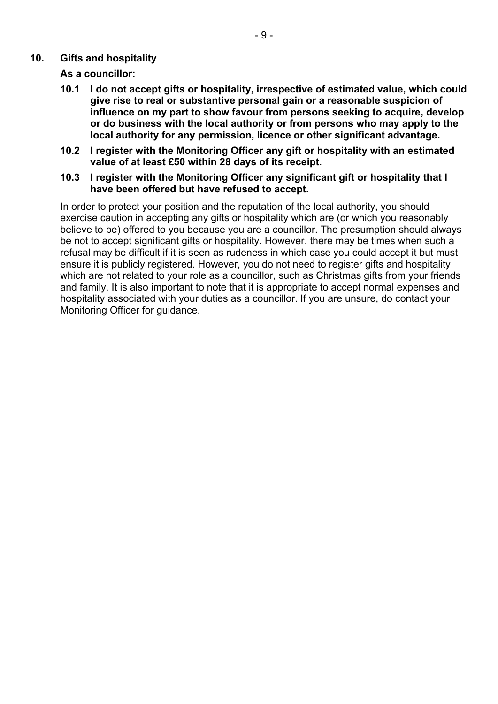#### **10. Gifts and hospitality**

**As a councillor:** 

- **10.1 I do not accept gifts or hospitality, irrespective of estimated value, which could give rise to real or substantive personal gain or a reasonable suspicion of influence on my part to show favour from persons seeking to acquire, develop or do business with the local authority or from persons who may apply to the local authority for any permission, licence or other significant advantage.**
- **10.2 I register with the Monitoring Officer any gift or hospitality with an estimated value of at least £50 within 28 days of its receipt.**
- **10.3 I register with the Monitoring Officer any significant gift or hospitality that I have been offered but have refused to accept.**

In order to protect your position and the reputation of the local authority, you should exercise caution in accepting any gifts or hospitality which are (or which you reasonably believe to be) offered to you because you are a councillor. The presumption should always be not to accept significant gifts or hospitality. However, there may be times when such a refusal may be difficult if it is seen as rudeness in which case you could accept it but must ensure it is publicly registered. However, you do not need to register gifts and hospitality which are not related to your role as a councillor, such as Christmas gifts from your friends and family. It is also important to note that it is appropriate to accept normal expenses and hospitality associated with your duties as a councillor. If you are unsure, do contact your Monitoring Officer for guidance.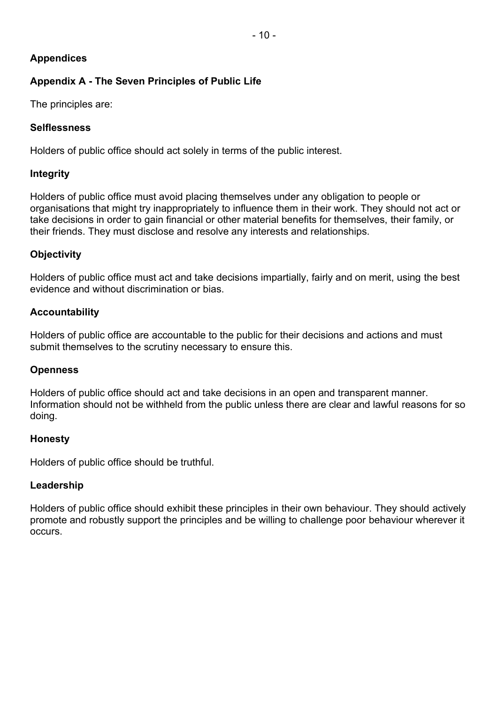# **Appendices**

# **Appendix A - The Seven Principles of Public Life**

The principles are:

# **Selflessness**

Holders of public office should act solely in terms of the public interest.

# **Integrity**

Holders of public office must avoid placing themselves under any obligation to people or organisations that might try inappropriately to influence them in their work. They should not act or take decisions in order to gain financial or other material benefits for themselves, their family, or their friends. They must disclose and resolve any interests and relationships.

# **Objectivity**

Holders of public office must act and take decisions impartially, fairly and on merit, using the best evidence and without discrimination or bias.

# **Accountability**

Holders of public office are accountable to the public for their decisions and actions and must submit themselves to the scrutiny necessary to ensure this.

## **Openness**

Holders of public office should act and take decisions in an open and transparent manner. Information should not be withheld from the public unless there are clear and lawful reasons for so doing.

## **Honesty**

Holders of public office should be truthful.

## **Leadership**

Holders of public office should exhibit these principles in their own behaviour. They should actively promote and robustly support the principles and be willing to challenge poor behaviour wherever it occurs.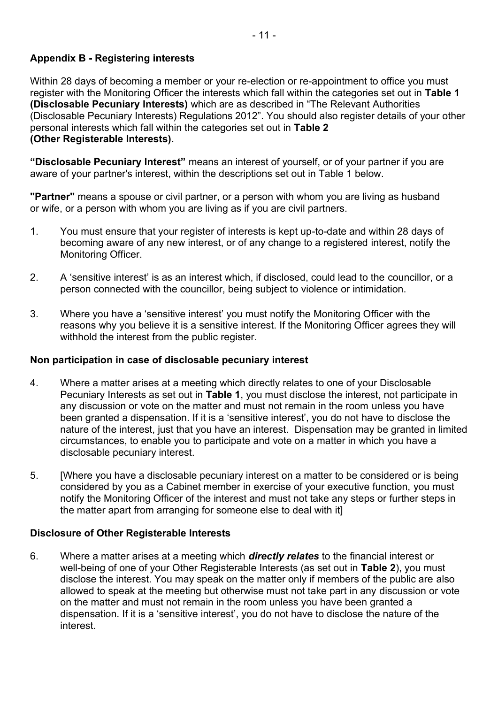# **Appendix B - Registering interests**

Within 28 days of becoming a member or your re-election or re-appointment to office you must register with the Monitoring Officer the interests which fall within the categories set out in **Table 1 (Disclosable Pecuniary Interests)** which are as described in "The Relevant Authorities (Disclosable Pecuniary Interests) Regulations 2012". You should also register details of your other personal interests which fall within the categories set out in **Table 2 (Other Registerable Interests)**.

**"Disclosable Pecuniary Interest"** means an interest of yourself, or of your partner if you are aware of your partner's interest, within the descriptions set out in Table 1 below.

**"Partner"** means a spouse or civil partner, or a person with whom you are living as husband or wife, or a person with whom you are living as if you are civil partners.

- 1. You must ensure that your register of interests is kept up-to-date and within 28 days of becoming aware of any new interest, or of any change to a registered interest, notify the Monitoring Officer.
- 2. A 'sensitive interest' is as an interest which, if disclosed, could lead to the councillor, or a person connected with the councillor, being subject to violence or intimidation.
- 3. Where you have a 'sensitive interest' you must notify the Monitoring Officer with the reasons why you believe it is a sensitive interest. If the Monitoring Officer agrees they will withhold the interest from the public register.

#### **Non participation in case of disclosable pecuniary interest**

- 4. Where a matter arises at a meeting which directly relates to one of your Disclosable Pecuniary Interests as set out in **Table 1**, you must disclose the interest, not participate in any discussion or vote on the matter and must not remain in the room unless you have been granted a dispensation. If it is a 'sensitive interest', you do not have to disclose the nature of the interest, just that you have an interest. Dispensation may be granted in limited circumstances, to enable you to participate and vote on a matter in which you have a disclosable pecuniary interest.
- 5. [Where you have a disclosable pecuniary interest on a matter to be considered or is being considered by you as a Cabinet member in exercise of your executive function, you must notify the Monitoring Officer of the interest and must not take any steps or further steps in the matter apart from arranging for someone else to deal with it]

## **Disclosure of Other Registerable Interests**

6. Where a matter arises at a meeting which *directly relates* to the financial interest or well-being of one of your Other Registerable Interests (as set out in **Table 2**), you must disclose the interest. You may speak on the matter only if members of the public are also allowed to speak at the meeting but otherwise must not take part in any discussion or vote on the matter and must not remain in the room unless you have been granted a dispensation. If it is a 'sensitive interest', you do not have to disclose the nature of the interest.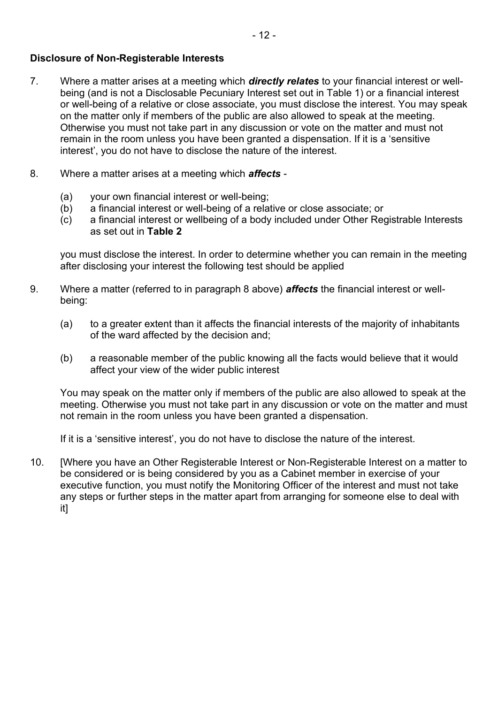#### **Disclosure of Non-Registerable Interests**

- 7. Where a matter arises at a meeting which *directly relates* to your financial interest or wellbeing (and is not a Disclosable Pecuniary Interest set out in Table 1) or a financial interest or well-being of a relative or close associate, you must disclose the interest. You may speak on the matter only if members of the public are also allowed to speak at the meeting. Otherwise you must not take part in any discussion or vote on the matter and must not remain in the room unless you have been granted a dispensation. If it is a 'sensitive interest', you do not have to disclose the nature of the interest.
- 8. Where a matter arises at a meeting which *affects*
	- (a) your own financial interest or well-being;
	- (b) a financial interest or well-being of a relative or close associate; or
	- (c) a financial interest or wellbeing of a body included under Other Registrable Interests as set out in **Table 2**

you must disclose the interest. In order to determine whether you can remain in the meeting after disclosing your interest the following test should be applied

- 9. Where a matter (referred to in paragraph 8 above) *affects* the financial interest or wellbeing:
	- (a) to a greater extent than it affects the financial interests of the majority of inhabitants of the ward affected by the decision and;
	- (b) a reasonable member of the public knowing all the facts would believe that it would affect your view of the wider public interest

You may speak on the matter only if members of the public are also allowed to speak at the meeting. Otherwise you must not take part in any discussion or vote on the matter and must not remain in the room unless you have been granted a dispensation.

If it is a 'sensitive interest', you do not have to disclose the nature of the interest.

10. [Where you have an Other Registerable Interest or Non-Registerable Interest on a matter to be considered or is being considered by you as a Cabinet member in exercise of your executive function, you must notify the Monitoring Officer of the interest and must not take any steps or further steps in the matter apart from arranging for someone else to deal with it]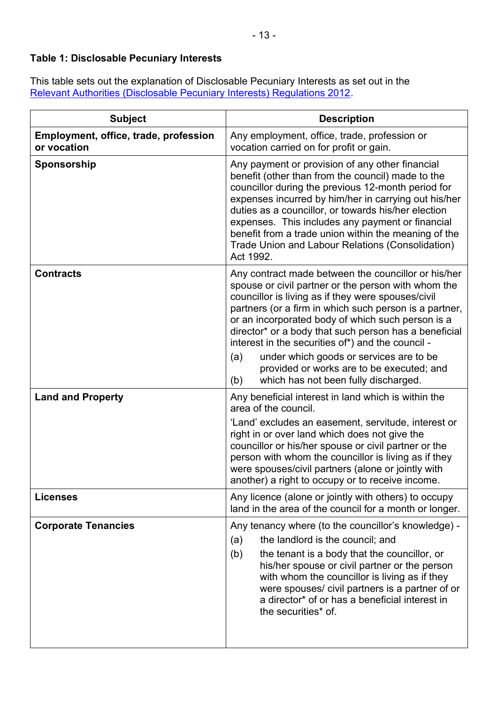# **Table 1: Disclosable Pecuniary Interests**

This table sets out the explanation of Disclosable Pecuniary Interests as set out in the [Relevant Authorities \(Disclosable Pecuniary Interests\) Regulations 2012.](https://www.legislation.gov.uk/uksi/2012/1464/made)

| <b>Subject</b>                                       | <b>Description</b>                                                                                                                                                                                                                                                                                                                                                                                                                                                                                                                          |
|------------------------------------------------------|---------------------------------------------------------------------------------------------------------------------------------------------------------------------------------------------------------------------------------------------------------------------------------------------------------------------------------------------------------------------------------------------------------------------------------------------------------------------------------------------------------------------------------------------|
| Employment, office, trade, profession<br>or vocation | Any employment, office, trade, profession or<br>vocation carried on for profit or gain.                                                                                                                                                                                                                                                                                                                                                                                                                                                     |
| Sponsorship                                          | Any payment or provision of any other financial<br>benefit (other than from the council) made to the<br>councillor during the previous 12-month period for<br>expenses incurred by him/her in carrying out his/her<br>duties as a councillor, or towards his/her election<br>expenses. This includes any payment or financial<br>benefit from a trade union within the meaning of the<br>Trade Union and Labour Relations (Consolidation)<br>Act 1992.                                                                                      |
| <b>Contracts</b>                                     | Any contract made between the councillor or his/her<br>spouse or civil partner or the person with whom the<br>councillor is living as if they were spouses/civil<br>partners (or a firm in which such person is a partner,<br>or an incorporated body of which such person is a<br>director* or a body that such person has a beneficial<br>interest in the securities of*) and the council -<br>under which goods or services are to be<br>(a)<br>provided or works are to be executed; and<br>(b)<br>which has not been fully discharged. |
| <b>Land and Property</b>                             | Any beneficial interest in land which is within the<br>area of the council.<br>'Land' excludes an easement, servitude, interest or<br>right in or over land which does not give the<br>councillor or his/her spouse or civil partner or the<br>person with whom the councillor is living as if they<br>were spouses/civil partners (alone or jointly with<br>another) a right to occupy or to receive income.                                                                                                                               |
| <b>Licenses</b>                                      | Any licence (alone or jointly with others) to occupy<br>land in the area of the council for a month or longer.                                                                                                                                                                                                                                                                                                                                                                                                                              |
| <b>Corporate Tenancies</b>                           | Any tenancy where (to the councillor's knowledge) -<br>the landlord is the council; and<br>(a)<br>(b)<br>the tenant is a body that the councillor, or<br>his/her spouse or civil partner or the person<br>with whom the councillor is living as if they<br>were spouses/ civil partners is a partner of or<br>a director* of or has a beneficial interest in<br>the securities* of.                                                                                                                                                         |